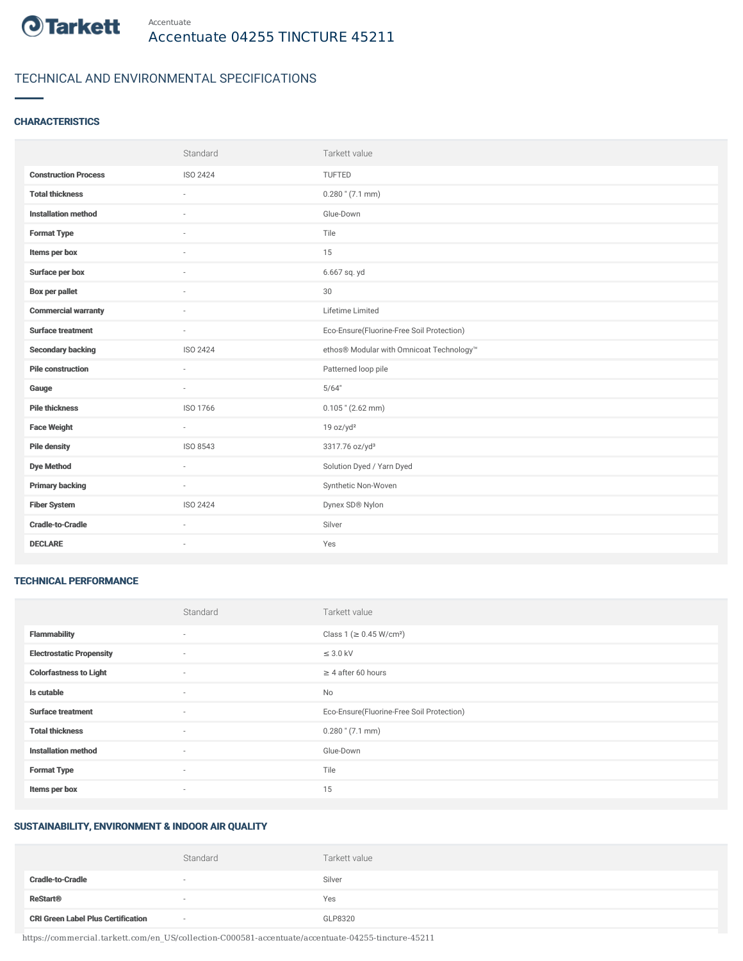

# TECHNICAL AND ENVIRONMENTAL SPECIFICATIONS

# **CHARACTERISTICS**

|                             | Standard                 | Tarkett value                             |
|-----------------------------|--------------------------|-------------------------------------------|
| <b>Construction Process</b> | ISO 2424                 | TUFTED                                    |
| <b>Total thickness</b>      |                          | $0.280$ " (7.1 mm)                        |
| <b>Installation method</b>  | $\sim$                   | Glue-Down                                 |
| <b>Format Type</b>          | $\overline{\phantom{a}}$ | Tile                                      |
| Items per box               |                          | 15                                        |
| Surface per box             |                          | 6.667 sq. yd                              |
| <b>Box per pallet</b>       | $\overline{\phantom{a}}$ | 30                                        |
| <b>Commercial warranty</b>  | $\sim$                   | Lifetime Limited                          |
| Surface treatment           | $\sim$                   | Eco-Ensure(Fluorine-Free Soil Protection) |
| <b>Secondary backing</b>    | ISO 2424                 | ethos® Modular with Omnicoat Technology™  |
| <b>Pile construction</b>    | $\sim$                   | Patterned loop pile                       |
| Gauge                       | $\sim$                   | 5/64"                                     |
| <b>Pile thickness</b>       | ISO 1766                 | $0.105$ " (2.62 mm)                       |
| <b>Face Weight</b>          | $\overline{\phantom{a}}$ | 19 oz/yd <sup>2</sup>                     |
| <b>Pile density</b>         | ISO 8543                 | 3317.76 oz/yd <sup>3</sup>                |
| <b>Dye Method</b>           | $\overline{\phantom{a}}$ | Solution Dyed / Yarn Dyed                 |
| <b>Primary backing</b>      | $\sim$                   | Synthetic Non-Woven                       |
| <b>Fiber System</b>         | ISO 2424                 | Dynex SD® Nylon                           |
| <b>Cradle-to-Cradle</b>     | $\sim$                   | Silver                                    |
| <b>DECLARE</b>              | $\overline{\phantom{a}}$ | Yes                                       |

### TECHNICAL PERFORMANCE

|                                 | Standard | Tarkett value                             |
|---------------------------------|----------|-------------------------------------------|
| <b>Flammability</b>             | ٠        | Class 1 ( $\geq$ 0.45 W/cm <sup>2</sup> ) |
| <b>Electrostatic Propensity</b> | $\sim$   | $\leq$ 3.0 kV                             |
| <b>Colorfastness to Light</b>   | $\sim$   | $\geq 4$ after 60 hours                   |
| Is cutable                      | $\sim$   | No                                        |
| <b>Surface treatment</b>        | $\sim$   | Eco-Ensure(Fluorine-Free Soil Protection) |
| <b>Total thickness</b>          | $\sim$   | $0.280$ " (7.1 mm)                        |
| <b>Installation method</b>      | $\sim$   | Glue-Down                                 |
| <b>Format Type</b>              | $\sim$   | Tile                                      |
| Items per box                   | $\sim$   | 15                                        |

## SUSTAINABILITY, ENVIRONMENT & INDOOR AIR QUALITY

|                                           | Standard | Tarkett value |
|-------------------------------------------|----------|---------------|
| <b>Cradle-to-Cradle</b>                   |          | Silver        |
| <b>ReStart®</b>                           |          | Yes           |
| <b>CRI Green Label Plus Certification</b> | $\sim$   | GLP8320       |

https://commercial.tarkett.com/en\_US/collection-C000581-accentuate/accentuate-04255-tincture-45211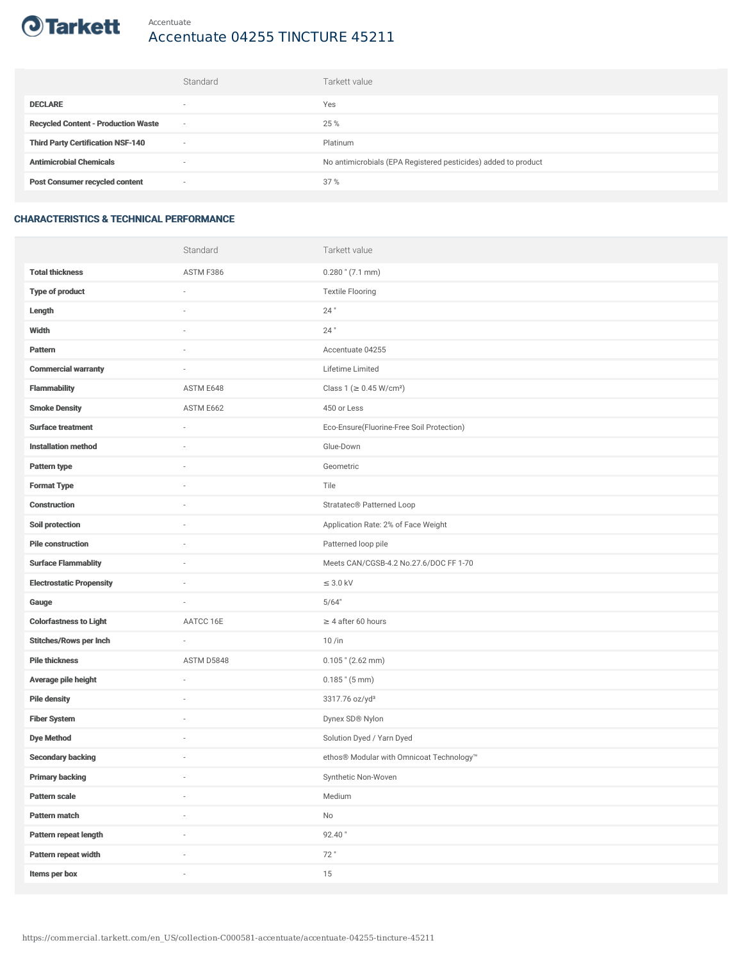

### Accentuate Accentuate 04255 TINCTURE 45211

|                                            | Standard                 | Tarkett value                                                  |
|--------------------------------------------|--------------------------|----------------------------------------------------------------|
| <b>DECLARE</b>                             | $\overline{\phantom{a}}$ | Yes                                                            |
| <b>Recycled Content - Production Waste</b> | $\overline{\phantom{a}}$ | 25 %                                                           |
| <b>Third Party Certification NSF-140</b>   | $\sim$                   | Platinum                                                       |
| <b>Antimicrobial Chemicals</b>             | ۰                        | No antimicrobials (EPA Registered pesticides) added to product |
| <b>Post Consumer recycled content</b>      | $\sim$                   | 37%                                                            |

# CHARACTERISTICS & TECHNICAL PERFORMANCE

|                                 | Standard                 | Tarkett value                             |
|---------------------------------|--------------------------|-------------------------------------------|
| <b>Total thickness</b>          | ASTM F386                | $0.280$ " (7.1 mm)                        |
| <b>Type of product</b>          | ä,                       | <b>Textile Flooring</b>                   |
| Length                          |                          | 24"                                       |
| Width                           | $\sim$                   | $24$ "                                    |
| Pattern                         |                          | Accentuate 04255                          |
| <b>Commercial warranty</b>      |                          | Lifetime Limited                          |
| <b>Flammability</b>             | ASTM E648                | Class 1 (≥ 0.45 W/cm <sup>2</sup> )       |
| <b>Smoke Density</b>            | ASTM E662                | 450 or Less                               |
| <b>Surface treatment</b>        | $\sim$                   | Eco-Ensure(Fluorine-Free Soil Protection) |
| <b>Installation method</b>      | $\sim$                   | Glue-Down                                 |
| Pattern type                    |                          | Geometric                                 |
| <b>Format Type</b>              |                          | Tile                                      |
| <b>Construction</b>             | $\sim$                   | Stratatec <sup>®</sup> Patterned Loop     |
| Soil protection                 |                          | Application Rate: 2% of Face Weight       |
| <b>Pile construction</b>        |                          | Patterned loop pile                       |
| <b>Surface Flammablity</b>      | ×,                       | Meets CAN/CGSB-4.2 No.27.6/DOC FF 1-70    |
| <b>Electrostatic Propensity</b> |                          | $\leq$ 3.0 kV                             |
| Gauge                           | ×,                       | 5/64"                                     |
| <b>Colorfastness to Light</b>   | AATCC 16E                | $\geq 4$ after 60 hours                   |
| <b>Stitches/Rows per Inch</b>   | ä,                       | $10/$ in                                  |
| <b>Pile thickness</b>           | ASTM D5848               | $0.105$ " (2.62 mm)                       |
| Average pile height             | ×,                       | $0.185$ " $(5 \text{ mm})$                |
| <b>Pile density</b>             |                          | 3317.76 oz/yd <sup>3</sup>                |
| <b>Fiber System</b>             |                          | Dynex SD® Nylon                           |
| <b>Dye Method</b>               | ×,                       | Solution Dyed / Yarn Dyed                 |
| <b>Secondary backing</b>        |                          | ethos® Modular with Omnicoat Technology™  |
| <b>Primary backing</b>          | $\overline{\phantom{a}}$ | Synthetic Non-Woven                       |
| Pattern scale                   | $\overline{\phantom{a}}$ | Medium                                    |
| Pattern match                   | i.                       | No                                        |
| Pattern repeat length           |                          | 92.40"                                    |
| Pattern repeat width            | i.                       | 72"                                       |
| Items per box                   | i.                       | 15                                        |